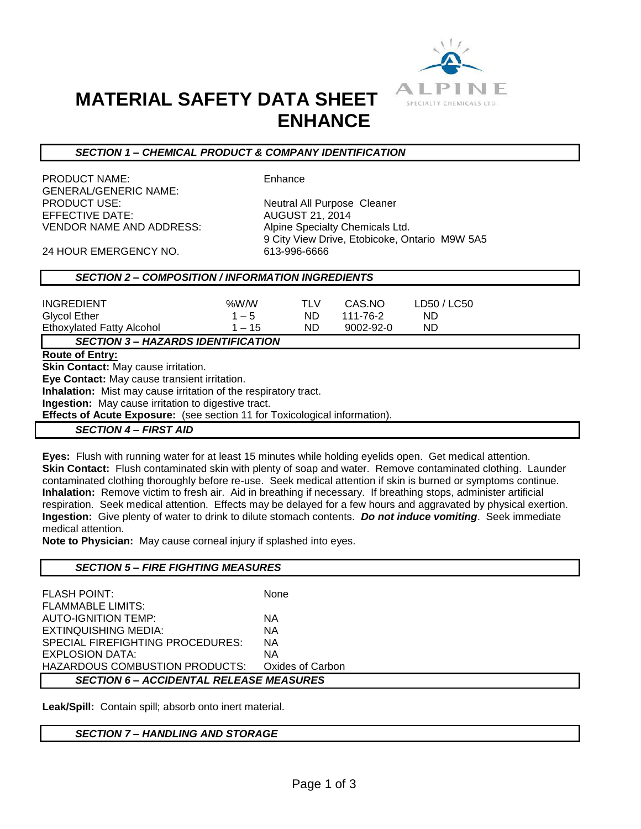

## **MATERIAL SAFETY DATA SHEET ENHANCE**

#### *SECTION 1 – CHEMICAL PRODUCT & COMPANY IDENTIFICATION*

PRODUCT NAME: Enhance GENERAL/GENERIC NAME: PRODUCT USE: Neutral All Purpose Cleaner EFFECTIVE DATE: AUGUST 21, 2014 VENDOR NAME AND ADDRESS: Alpine Specialty Chemicals Ltd.

9 City View Drive, Etobicoke, Ontario M9W 5A5

24 HOUR EMERGENCY NO. 613-996-6666

## *SECTION 2 – COMPOSITION / INFORMATION INGREDIENTS*

| <b>INGREDIENT</b>                                               | %W/W     | <b>TLV</b> | CAS.NO          | LD50 / LC50 |  |
|-----------------------------------------------------------------|----------|------------|-----------------|-------------|--|
| <b>Glycol Ether</b>                                             | $1 - 5$  | ND.        | 111-76-2        | ND.         |  |
| <b>Ethoxylated Fatty Alcohol</b>                                | $1 - 15$ | ND.        | $9002 - 92 - 0$ | ND          |  |
| <b>SECTION 3- HAZARDS IDENTIFICATION</b>                        |          |            |                 |             |  |
| <b>Route of Entry:</b>                                          |          |            |                 |             |  |
| <b>Skin Contact: May cause irritation.</b>                      |          |            |                 |             |  |
| Eye Contact: May cause transient irritation.                    |          |            |                 |             |  |
| Inhalation: Mist may cause irritation of the respiratory tract. |          |            |                 |             |  |
| <b>Ingestion:</b> May cause irritation to digestive tract.      |          |            |                 |             |  |

**Effects of Acute Exposure:** (see section 11 for Toxicological information).

#### *SECTION 4 – FIRST AID*

**Eyes:** Flush with running water for at least 15 minutes while holding eyelids open. Get medical attention. **Skin Contact:** Flush contaminated skin with plenty of soap and water. Remove contaminated clothing. Launder contaminated clothing thoroughly before re-use. Seek medical attention if skin is burned or symptoms continue. **Inhalation:** Remove victim to fresh air. Aid in breathing if necessary. If breathing stops, administer artificial respiration. Seek medical attention. Effects may be delayed for a few hours and aggravated by physical exertion. **Ingestion:** Give plenty of water to drink to dilute stomach contents. *Do not induce vomiting*. Seek immediate medical attention.

**Note to Physician:** May cause corneal injury if splashed into eyes.

#### *SECTION 5 – FIRE FIGHTING MEASURES*

| <b>FLASH POINT:</b>                            | None             |  |  |  |
|------------------------------------------------|------------------|--|--|--|
| <b>FLAMMABLE LIMITS:</b>                       |                  |  |  |  |
| AUTO-IGNITION TEMP:                            | ΝA               |  |  |  |
| EXTINQUISHING MEDIA:                           | ΝA               |  |  |  |
| SPECIAL FIREFIGHTING PROCEDURES:               | ΝA               |  |  |  |
| EXPLOSION DATA:                                | ΝA               |  |  |  |
| HAZARDOUS COMBUSTION PRODUCTS:                 | Oxides of Carbon |  |  |  |
| <b>SECTION 6 – ACCIDENTAL RELEASE MEASURES</b> |                  |  |  |  |

**Leak/Spill:** Contain spill; absorb onto inert material.

#### *SECTION 7 – HANDLING AND STORAGE*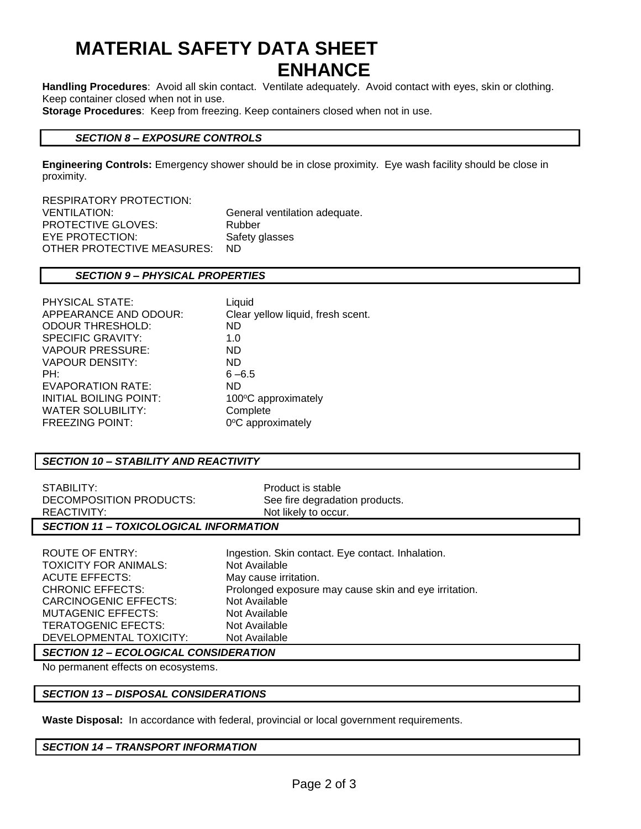## **MATERIAL SAFETY DATA SHEET ENHANCE**

**Handling Procedures**: Avoid all skin contact. Ventilate adequately. Avoid contact with eyes, skin or clothing. Keep container closed when not in use.

**Storage Procedures**: Keep from freezing. Keep containers closed when not in use.

### *SECTION 8 – EXPOSURE CONTROLS*

**Engineering Controls:** Emergency shower should be in close proximity. Eye wash facility should be close in proximity.

RESPIRATORY PROTECTION: VENTILATION: General ventilation adequate. PROTECTIVE GLOVES: Rubber EYE PROTECTION: Safety glasses OTHER PROTECTIVE MEASURES: ND

## *SECTION 9 – PHYSICAL PROPERTIES*

| Liquid                            |
|-----------------------------------|
| Clear yellow liquid, fresh scent. |
| ND.                               |
| 1.0                               |
| ND.                               |
| ND.                               |
| $6 - 6.5$                         |
| ND.                               |
| 100°C approximately               |
| Complete                          |
| 0°C approximately                 |
|                                   |

## *SECTION 10 – STABILITY AND REACTIVITY*

| STABILITY:              | Product is stable              |  |  |  |
|-------------------------|--------------------------------|--|--|--|
| DECOMPOSITION PRODUCTS: | See fire degradation products. |  |  |  |
| REACTIVITY:             | Not likely to occur.           |  |  |  |
|                         |                                |  |  |  |

## *SECTION 11 – TOXICOLOGICAL INFORMATION*

TOXICITY FOR ANIMALS: Not Available ACUTE EFFECTS: May cause irritation. CARCINOGENIC EFFECTS: Not Available MUTAGENIC EFFECTS: Not Available TERATOGENIC EFECTS: Not Available DEVELOPMENTAL TOXICITY: Not Available

ROUTE OF ENTRY: Ingestion. Skin contact. Eye contact. Inhalation. CHRONIC EFFECTS: Prolonged exposure may cause skin and eye irritation.

## *SECTION 12 – ECOLOGICAL CONSIDERATION*

No permanent effects on ecosystems.

## *SECTION 13 – DISPOSAL CONSIDERATIONS*

**Waste Disposal:** In accordance with federal, provincial or local government requirements.

## *SECTION 14 – TRANSPORT INFORMATION*